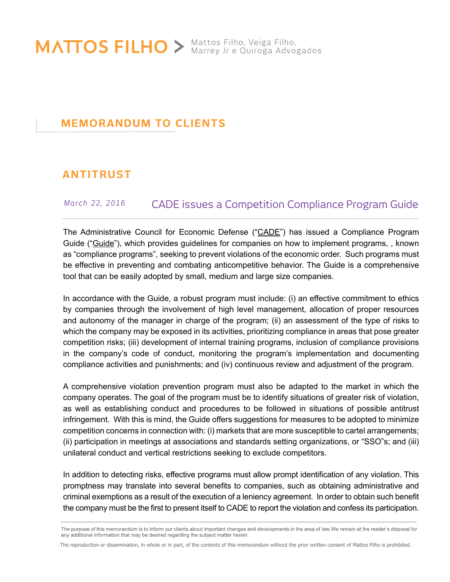MATTOS FILHO > Mattos Filho, Veiga Filho,

# **MEMORANDUM TO CLIENTS**

# **ANTITRUST**

## *March 22, 2016* CADE issues a Competition Compliance Program Guide

The Administrative Council for Economic Defense ("CADE") has issued a Compliance Program Guide ("Guide"), which provides guidelines for companies on how to implement programs, , known as "compliance programs", seeking to prevent violations of the economic order. Such programs must be effective in preventing and combating anticompetitive behavior. The Guide is a comprehensive tool that can be easily adopted by small, medium and large size companies.

In accordance with the Guide, a robust program must include: (i) an effective commitment to ethics by companies through the involvement of high level management, allocation of proper resources and autonomy of the manager in charge of the program; (ii) an assessment of the type of risks to which the company may be exposed in its activities, prioritizing compliance in areas that pose greater competition risks; (iii) development of internal training programs, inclusion of compliance provisions in the company's code of conduct, monitoring the program's implementation and documenting compliance activities and punishments; and (iv) continuous review and adjustment of the program.

A comprehensive violation prevention program must also be adapted to the market in which the company operates. The goal of the program must be to identify situations of greater risk of violation, as well as establishing conduct and procedures to be followed in situations of possible antitrust infringement. With this is mind, the Guide offers suggestions for measures to be adopted to minimize competition concerns in connection with: (i) markets that are more susceptible to cartel arrangements; (ii) participation in meetings at associations and standards setting organizations, or "SSO"s; and (iii) unilateral conduct and vertical restrictions seeking to exclude competitors.

In addition to detecting risks, effective programs must allow prompt identification of any violation. This promptness may translate into several benefits to companies, such as obtaining administrative and criminal exemptions as a result of the execution of a leniency agreement. In order to obtain such benefit the company must be the first to present itself to CADE to report the violation and confess its participation.

The purpose of this memorandum is to inform our clients about important changes and developments in the area of law. We remain at the reader's disposal for any additional information that may be desired regarding the subject matter herein.

The reproduction or dissemination, in whole or in part, of the contents of this memorandum without the prior written consent of Mattos Filho is prohibited.